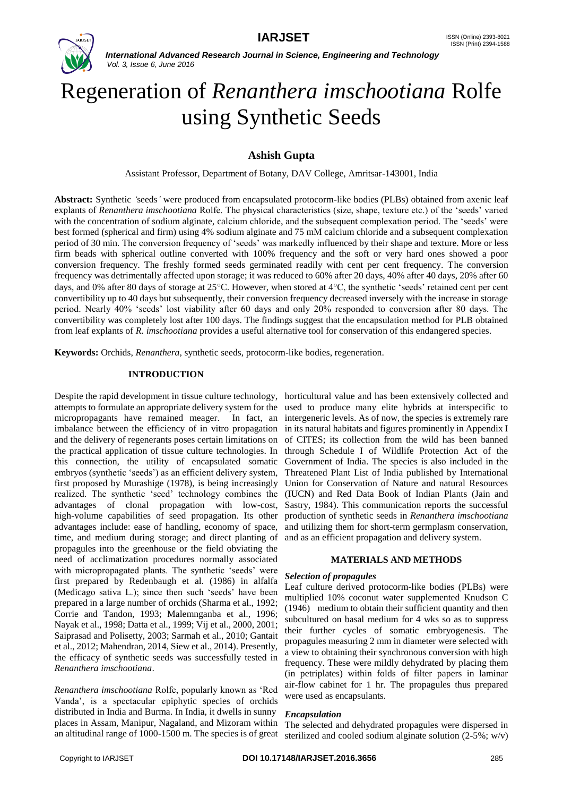

# Regeneration of *Renanthera imschootiana* Rolfe using Synthetic Seeds

# **Ashish Gupta**

Assistant Professor, Department of Botany, DAV College, Amritsar-143001, India

**Abstract:** Synthetic *'*seeds*'* were produced from encapsulated protocorm-like bodies (PLBs) obtained from axenic leaf explants of *Renanthera imschootiana* Rolfe. The physical characteristics (size, shape, texture etc.) of the 'seeds' varied with the concentration of sodium alginate, calcium chloride, and the subsequent complexation period. The 'seeds' were best formed (spherical and firm) using 4% sodium alginate and 75 mM calcium chloride and a subsequent complexation period of 30 min*.* The conversion frequency of 'seeds' was markedly influenced by their shape and texture. More or less firm beads with spherical outline converted with 100% frequency and the soft or very hard ones showed a poor conversion frequency. The freshly formed seeds germinated readily with cent per cent frequency. The conversion frequency was detrimentally affected upon storage; it was reduced to 60% after 20 days, 40% after 40 days, 20% after 60 days, and 0% after 80 days of storage at 25 °C. However, when stored at 4 °C, the synthetic 'seeds' retained cent per cent convertibility up to 40 days but subsequently, their conversion frequency decreased inversely with the increase in storage period. Nearly 40% 'seeds' lost viability after 60 days and only 20% responded to conversion after 80 days. The convertibility was completely lost after 100 days. The findings suggest that the encapsulation method for PLB obtained from leaf explants of *R. imschootiana* provides a useful alternative tool for conservation of this endangered species.

**Keywords:** Orchids, *Renanthera*, synthetic seeds, protocorm-like bodies, regeneration.

### **INTRODUCTION**

Despite the rapid development in tissue culture technology, horticultural value and has been extensively collected and attempts to formulate an appropriate delivery system for the micropropagants have remained meager. In fact, an imbalance between the efficiency of in vitro propagation and the delivery of regenerants poses certain limitations on the practical application of tissue culture technologies. In this connection, the utility of encapsulated somatic embryos (synthetic 'seeds') as an efficient delivery system, first proposed by Murashige (1978), is being increasingly realized. The synthetic 'seed' technology combines the advantages of clonal propagation with low-cost, high-volume capabilities of seed propagation. Its other advantages include: ease of handling, economy of space, time, and medium during storage; and direct planting of propagules into the greenhouse or the field obviating the need of acclimatization procedures normally associated with micropropagated plants. The synthetic 'seeds' were first prepared by Redenbaugh et al. (1986) in alfalfa (Medicago sativa L.); since then such 'seeds' have been prepared in a large number of orchids (Sharma et al., 1992; Corrie and Tandon, 1993; Malemnganba et al., 1996; Nayak et al., 1998; Datta et al., 1999; Vij et al., 2000, 2001; Saiprasad and Polisetty, 2003; Sarmah et al., 2010; Gantait et al., 2012; Mahendran, 2014, Siew et al., 2014). Presently, the efficacy of synthetic seeds was successfully tested in *Renanthera imschootiana*.

*Renanthera imschootiana* Rolfe, popularly known as 'Red Vanda', is a spectacular epiphytic species of orchids distributed in India and Burma. In India, it dwells in sunny places in Assam, Manipur, Nagaland, and Mizoram within an altitudinal range of 1000-1500 m. The species is of great

used to produce many elite hybrids at interspecific to intergeneric levels. As of now, the species is extremely rare in its natural habitats and figures prominently in Appendix I of CITES; its collection from the wild has been banned through Schedule I of Wildlife Protection Act of the Government of India. The species is also included in the Threatened Plant List of India published by International Union for Conservation of Nature and natural Resources (IUCN) and Red Data Book of Indian Plants (Jain and Sastry, 1984). This communication reports the successful production of synthetic seeds in *Renanthera imschootiana* and utilizing them for short-term germplasm conservation, and as an efficient propagation and delivery system.

### **MATERIALS AND METHODS**

#### *Selection of propagules*

Leaf culture derived protocorm-like bodies (PLBs) were multiplied 10% coconut water supplemented Knudson C (1946) medium to obtain their sufficient quantity and then subcultured on basal medium for 4 wks so as to suppress their further cycles of somatic embryogenesis. The propagules measuring 2 mm in diameter were selected with a view to obtaining their synchronous conversion with high frequency. These were mildly dehydrated by placing them (in petriplates) within folds of filter papers in laminar air-flow cabinet for 1 hr. The propagules thus prepared were used as encapsulants.

### *Encapsulation*

The selected and dehydrated propagules were dispersed in sterilized and cooled sodium alginate solution (2-5%; w/v)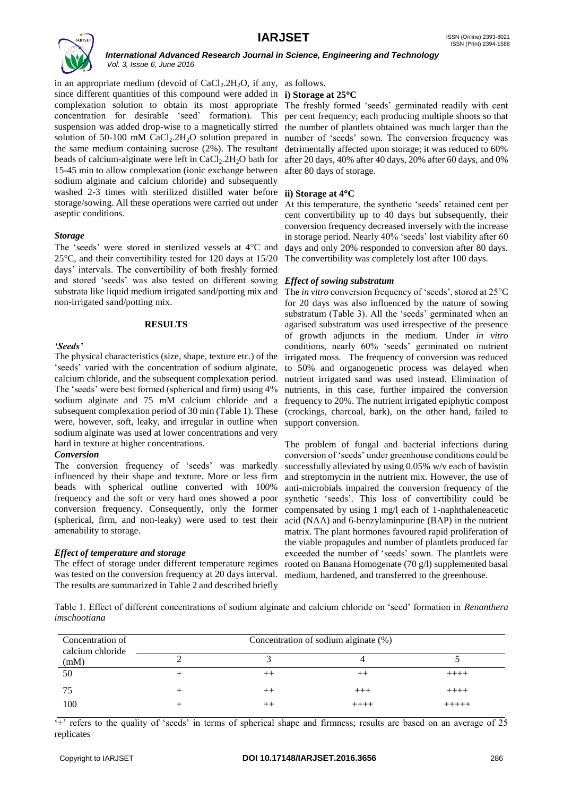

in an appropriate medium (devoid of  $CaCl<sub>2</sub>$ .2H<sub>2</sub>O, if any, as follows. since different quantities of this compound were added in **i) Storage at 25C** complexation solution to obtain its most appropriate The freshly formed 'seeds' germinated readily with cent concentration for desirable 'seed' formation). This suspension was added drop-wise to a magnetically stirred solution of 50-100 mM  $CaCl<sub>2</sub>$ .  $2H<sub>2</sub>O$  solution prepared in the same medium containing sucrose (2%). The resultant beads of calcium-alginate were left in  $CaCl<sub>2</sub>$ .2H<sub>2</sub>O bath for 15-45 min to allow complexation (ionic exchange between sodium alginate and calcium chloride) and subsequently washed 2-3 times with sterilized distilled water before **ii) Storage at 4C** storage/sowing. All these operations were carried out under aseptic conditions.

### *Storage*

The 'seeds' were stored in sterilized vessels at  $4^{\circ}$ C and  $25^{\circ}$ C, and their convertibility tested for 120 days at 15/20 days' intervals. The convertibility of both freshly formed and stored 'seeds' was also tested on different sowing substrata like liquid medium irrigated sand/potting mix and non-irrigated sand/potting mix.

### **RESULTS**

## *'Seeds'*

The physical characteristics (size, shape, texture etc.) of the 'seeds' varied with the concentration of sodium alginate, calcium chloride, and the subsequent complexation period. The 'seeds' were best formed (spherical and firm) using 4% sodium alginate and 75 mM calcium chloride and a frequency to 20%. The nutrient irrigated epiphytic compost subsequent complexation period of 30 min (Table 1). These were, however, soft, leaky, and irregular in outline when sodium alginate was used at lower concentrations and very hard in texture at higher concentrations.

### *Conversion*

The conversion frequency of 'seeds' was markedly influenced by their shape and texture. More or less firm beads with spherical outline converted with 100% frequency and the soft or very hard ones showed a poor conversion frequency. Consequently, only the former (spherical, firm, and non-leaky) were used to test their amenability to storage.

# *Effect of temperature and storage*

The effect of storage under different temperature regimes was tested on the conversion frequency at 20 days interval. medium, hardened, and transferred to the greenhouse. The results are summarized in Table 2 and described briefly

per cent frequency; each producing multiple shoots so that the number of plantlets obtained was much larger than the number of 'seeds' sown. The conversion frequency was detrimentally affected upon storage; it was reduced to 60% after 20 days, 40% after 40 days, 20% after 60 days, and 0% after 80 days of storage.

At this temperature, the synthetic 'seeds' retained cent per cent convertibility up to 40 days but subsequently, their conversion frequency decreased inversely with the increase in storage period. Nearly 40% 'seeds' lost viability after 60 days and only 20% responded to conversion after 80 days. The convertibility was completely lost after 100 days.

# *Effect of sowing substratum*

The *in vitro* conversion frequency of 'seeds', stored at 25 °C for 20 days was also influenced by the nature of sowing substratum (Table 3). All the 'seeds' germinated when an agarised substratum was used irrespective of the presence of growth adjuncts in the medium. Under *in vitro*  conditions, nearly 60% 'seeds' germinated on nutrient irrigated moss. The frequency of conversion was reduced to 50% and organogenetic process was delayed when nutrient irrigated sand was used instead. Elimination of nutrients, in this case, further impaired the conversion (crockings, charcoal, bark), on the other hand, failed to support conversion.

The problem of fungal and bacterial infections during conversion of 'seeds' under greenhouse conditions could be successfully alleviated by using 0.05% w/v each of bavistin and streptomycin in the nutrient mix. However, the use of anti-microbials impaired the conversion frequency of the synthetic 'seeds'. This loss of convertibility could be compensated by using 1 mg/l each of 1-naphthaleneacetic acid (NAA) and 6-benzylaminpurine (BAP) in the nutrient matrix. The plant hormones favoured rapid proliferation of the viable propagules and number of plantlets produced far exceeded the number of 'seeds' sown. The plantlets were rooted on Banana Homogenate (70 g/l) supplemented basal

Table 1. Effect of different concentrations of sodium alginate and calcium chloride on 'seed' formation in *Renanthera imschootiana*

| Concentration of<br>calcium chloride | Concentration of sodium alginate (%) |         |         |         |  |
|--------------------------------------|--------------------------------------|---------|---------|---------|--|
| (mM)                                 |                                      |         |         |         |  |
| 50                                   |                                      |         | ᆠ       | $+++++$ |  |
| 75                                   |                                      | $^{++}$ | $+++$   | $+++++$ |  |
| 100                                  |                                      |         | $++++-$ |         |  |

'+' refers to the quality of 'seeds' in terms of spherical shape and firmness; results are based on an average of 25 replicates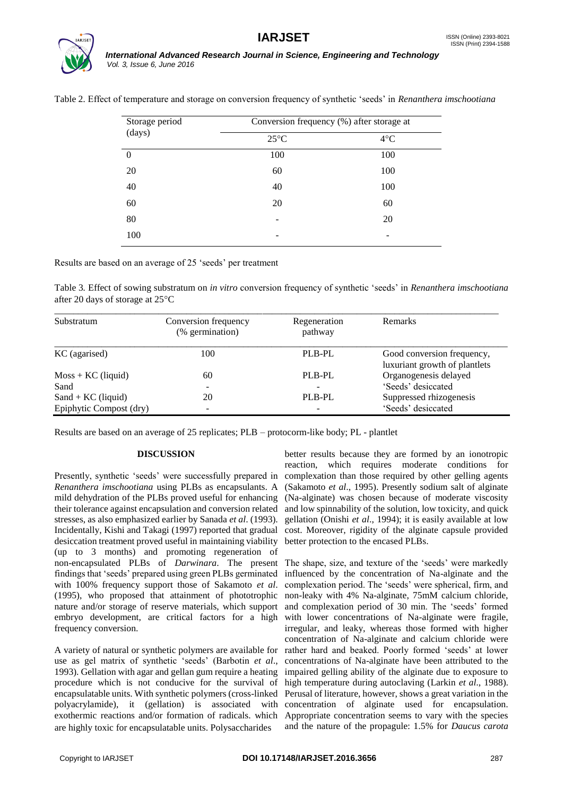

| Storage period | Conversion frequency (%) after storage at |              |  |
|----------------|-------------------------------------------|--------------|--|
| (days)         | $25^{\circ}$ C                            | $4^{\circ}C$ |  |
| $\Omega$       | 100                                       | 100          |  |
| 20             | 60                                        | 100          |  |
| 40             | 40                                        | 100          |  |
| 60             | 20                                        | 60           |  |
| 80             |                                           | 20           |  |
| 100            | -                                         | -            |  |
|                |                                           |              |  |

Table 2*.* Effect of temperature and storage on conversion frequency of synthetic 'seeds' in *Renanthera imschootiana*

Results are based on an average of 25 'seeds' per treatment

Table 3*.* Effect of sowing substratum on *in vitro* conversion frequency of synthetic 'seeds' in *Renanthera imschootiana*  after 20 days of storage at  $25^{\circ}$ C

| Substratum              | Conversion frequency<br>(% germination) | Regeneration<br>pathway | <b>Remarks</b>                                              |
|-------------------------|-----------------------------------------|-------------------------|-------------------------------------------------------------|
| KC (agarised)           | 100                                     | PLB-PL                  | Good conversion frequency,<br>luxuriant growth of plantlets |
| $M$ oss + KC (liquid)   | 60                                      | PLB-PL                  | Organogenesis delayed                                       |
| Sand                    |                                         |                         | 'Seeds' desiccated                                          |
| $Sand + KC$ (liquid)    | 20                                      | PLB-PL                  | Suppressed rhizogenesis                                     |
| Epiphytic Compost (dry) | -                                       |                         | 'Seeds' desiccated                                          |

Results are based on an average of 25 replicates; PLB – protocorm-like body; PL - plantlet

### **DISCUSSION**

Presently, synthetic 'seeds' were successfully prepared in *Renanthera imschootiana* using PLBs as encapsulants. A mild dehydration of the PLBs proved useful for enhancing their tolerance against encapsulation and conversion related stresses, as also emphasized earlier by Sanada *et al*. (1993). Incidentally, Kishi and Takagi (1997) reported that gradual desiccation treatment proved useful in maintaining viability (up to 3 months) and promoting regeneration of non-encapsulated PLBs of *Darwinara*. The present findings that 'seeds' prepared using green PLBs germinated with 100% frequency support those of Sakamoto *et al*. (1995), who proposed that attainment of phototrophic nature and/or storage of reserve materials, which support embryo development, are critical factors for a high frequency conversion.

A variety of natural or synthetic polymers are available for use as gel matrix of synthetic 'seeds' (Barbotin *et al*., 1993). Gellation with agar and gellan gum require a heating procedure which is not conducive for the survival of encapsulatable units. With synthetic polymers (cross-linked polyacrylamide), it (gellation) is associated with exothermic reactions and/or formation of radicals, which are highly toxic for encapsulatable units. Polysaccharides

better results because they are formed by an ionotropic reaction, which requires moderate conditions for complexation than those required by other gelling agents (Sakamoto *et al*., 1995). Presently sodium salt of alginate (Na-alginate) was chosen because of moderate viscosity and low spinnability of the solution, low toxicity, and quick gellation (Onishi *et al*., 1994); it is easily available at low cost. Moreover, rigidity of the alginate capsule provided better protection to the encased PLBs.

The shape, size, and texture of the 'seeds' were markedly influenced by the concentration of Na-alginate and the complexation period. The 'seeds' were spherical, firm, and non-leaky with 4% Na-alginate, 75mM calcium chloride, and complexation period of 30 min. The 'seeds' formed with lower concentrations of Na-alginate were fragile, irregular, and leaky, whereas those formed with higher concentration of Na-alginate and calcium chloride were rather hard and beaked. Poorly formed 'seeds' at lower concentrations of Na-alginate have been attributed to the impaired gelling ability of the alginate due to exposure to high temperature during autoclaving (Larkin *et al*., 1988). Perusal of literature, however, shows a great variation in the concentration of alginate used for encapsulation. Appropriate concentration seems to vary with the species and the nature of the propagule: 1.5% for *Daucus carota*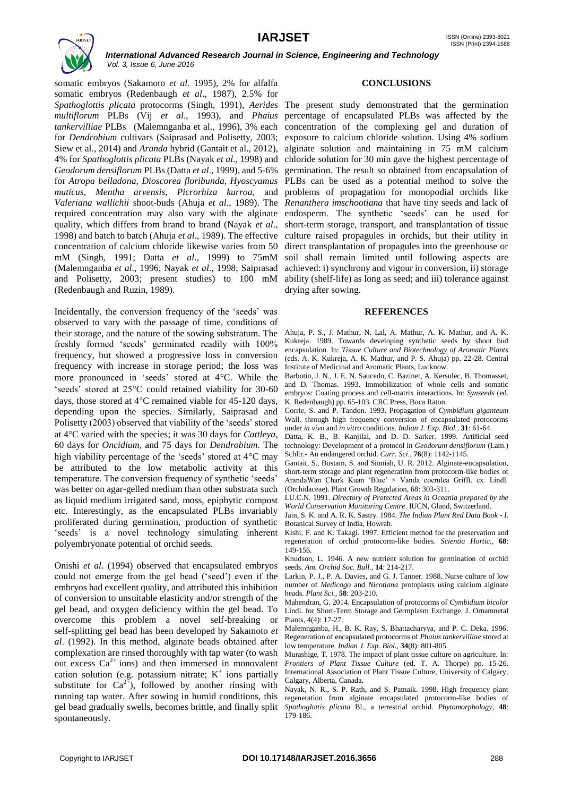

somatic embryos (Sakamoto *et al*. 1995), 2% for alfalfa somatic embryos (Redenbaugh *et al*., 1987), 2.5% for *Spathoglottis plicata* protocorms (Singh, 1991), *Aerides*  The present study demonstrated that the germination *multiflorum* PLBs (Vij *et al*., 1993), and *Phaius tankervilliae* PLBs (Malemnganba et al., 1996), 3% each for *Dendrobium* cultivars (Saiprasad and Polisetty, 2003; Siew et al., 2014) and *Aranda* hybrid (Gantait et al., 2012), 4% for *Spathoglottis plicata* PLBs (Nayak *et al*., 1998) and *Geodorum densiflorum* PLBs (Datta *et al*., 1999), and 5-6% for *Atropa belladona, Dioscorea floribunda, Hyoscyamus muticus, Mentha arvensis, Picrorhiza kurroa,* and *Valeriana wallichii* shoot-buds (Ahuja *et al*., 1989). The required concentration may also vary with the alginate quality, which differs from brand to brand (Nayak *et al*., 1998) and batch to batch (Ahuja *et al*., 1989). The effective concentration of calcium chloride likewise varies from 50 mM (Singh, 1991; Datta *et al*., 1999) to 75mM (Malemnganba *et al*., 1996; Nayak *et al*., 1998; Saiprasad and Polisetty, 2003; present studies) to 100 mM (Redenbaugh and Ruzin, 1989).

Incidentally, the conversion frequency of the 'seeds' was observed to vary with the passage of time, conditions of their storage, and the nature of the sowing substratum. The freshly formed 'seeds' germinated readily with 100% frequency, but showed a progressive loss in conversion frequency with increase in storage period; the loss was more pronounced in 'seeds' stored at 4°C. While the 'seeds' stored at 25°C could retained viability for 30-60 days, those stored at  $4^{\circ}$ C remained viable for 45-120 days, depending upon the species. Similarly, Saiprasad and Polisetty (2003) observed that viability of the 'seeds' stored at 4C varied with the species; it was 30 days for *Cattleya*, 60 days for *Oncidium*, and 75 days for *Dendrobium.* The high viability percentage of the 'seeds' stored at  $4^{\circ}$ C may be attributed to the low metabolic activity at this temperature. The conversion frequency of synthetic 'seeds' was better on agar-gelled medium than other substrata such as liquid medium irrigated sand, moss, epiphytic compost etc. Interestingly, as the encapsulated PLBs invariably proliferated during germination, production of synthetic 'seeds' is a novel technology simulating inherent polyembryonate potential of orchid seeds.

Onishi *et al*. (1994) observed that encapsulated embryos could not emerge from the gel bead ('seed') even if the embryos had excellent quality, and attributed this inhibition of conversion to unsuitable elasticity and/or strength of the gel bead, and oxygen deficiency within the gel bead. To overcome this problem a novel self-breaking or self-splitting gel bead has been developed by Sakamoto *et al*. (1992). In this method, alginate beads obtained after complexation are rinsed thoroughly with tap water (to wash out excess  $Ca^{2+}$  ions) and then immersed in monovalent cation solution (e.g. potassium nitrate;  $K^+$  ions partially substitute for  $Ca^{2+}$ ), followed by another rinsing with running tap water. After sowing in humid conditions, this gel bead gradually swells, becomes brittle, and finally split spontaneously.

#### **CONCLUSIONS**

percentage of encapsulated PLBs was affected by the concentration of the complexing gel and duration of exposure to calcium chloride solution. Using 4% sodium alginate solution and maintaining in 75 mM calcium chloride solution for 30 min gave the highest percentage of germination. The result so obtained from encapsulation of PLBs can be used as a potential method to solve the problems of propagation for monopodial orchids like *Renanthera imschootiana* that have tiny seeds and lack of endosperm. The synthetic 'seeds' can be used for short-term storage, transport, and transplantation of tissue culture raised propagules in orchids, but their utility in direct transplantation of propagules into the greenhouse or soil shall remain limited until following aspects are achieved: i) synchrony and vigour in conversion, ii) storage ability (shelf-life) as long as seed; and iii) tolerance against drying after sowing.

#### **REFERENCES**

Ahuja, P. S., J. Mathur, N. Lal, A. Mathur, A. K. Mathur, and A. K. Kukreja. 1989. Towards developing synthetic seeds by shoot bud encapsulation. In: *Tissue Culture and Biotechnology of Aromatic Plants* (eds. A. K. Kukreja, A. K. Mathur, and P. S. Ahuja) pp. 22-28. Central Institute of Medicinal and Aromatic Plants, Lucknow.

Barbotin, J. N., J. E. N. Saucedo, C. Bazinet, A. Kersulec, B. Thomasset, and D. Thomas. 1993. Immobilization of whole cells and somatic embryos: Coating process and cell-matrix interactions. In: *Synseeds* (ed. K. Redenbaugh) pp. 65-103. CRC Press, Boca Raton.

Corrie, S. and P. Tandon. 1993. Propagation of *Cymbidium giganteum* Wall. through high frequency conversion of encapsulated protocorms under *in vivo* and *in vitro* conditions. *Indian J. Exp. Biol.*, **31**: 61-64.

Datta, K. B., B. Kanjilal, and D. D. Sarker. 1999. Artificial seed technology: Development of a protocol in *Geodorum densiflorum* (Lam.) Schltr.- An endangered orchid. *Curr. Sci*., **76**(8): 1142-1145.

Gantait, S., Bustam, S. and Sinniah, U. R. 2012. Alginate-encapsulation, short-term storage and plant regeneration from protocorm-like bodies of ArandaWan Chark Kuan 'Blue' × Vanda coerulea Grifft. ex. Lindl. (Orchidaceae). Plant Growth Regulation, 68: 303-311.

I.U.C.N. 1991. *Directory of Protected Areas in Oceania prepared by the World Conservation Monitoring Centre*. IUCN, Gland, Switzerland.

Jain, S. K. and A. R. K. Sastry. 1984. *The Indian Plant Red Data Book - I*. Botanical Survey of India, Howrah.

Kishi, F. and K. Takagi. 1997. Efficient method for the preservation and regeneration of orchid protocorm-like bodies. *Scientia Hortic.*, **68**: 149-156.

Knudson, L. 1946. A new nutrient solution for germination of orchid seeds. *Am. Orchid Soc. Bull.,* **14**: 214-217.

Larkin, P. J., P. A. Davies, and G. J. Tanner. 1988. Nurse culture of low number of *Medicago* and *Nicotiana* protoplasts using calcium alginate beads. *Plant Sci.*, **58**: 203-210.

Mahendran, G. 2014. Encapsulation of protocorms of *Cymbidium bicolor* Lindl. for Short-Term Storage and Germplasm Exchange. J. Ornamnetal Plants, 4(4): 17-27.

Malemnganba, H., B. K. Ray, S. Bhattacharyya, and P. C. Deka. 1996. Regeneration of encapsulated protocorms of *Phaius tankervilliae* stored at low temperature. *Indian J. Exp. Biol.,* **34**(8): 801-805.

Murashige, T. 1978. The impact of plant tissue culture on agriculture. In: *Frontiers of Plant Tissue Culture* (ed. T. A. Thorpe) pp. 15-26. International Association of Plant Tissue Culture, University of Calgary, Calgary, Alberta, Canada.

Nayak, N. R., S. P. Rath, and S. Patnaik. 1998. High frequency plant regeneration from alginate encapsulated protocorm-like bodies of *Spathoglottis plicata* Bl., a terrestrial orchid. *Phytomorphology*, **48**: 179-186.